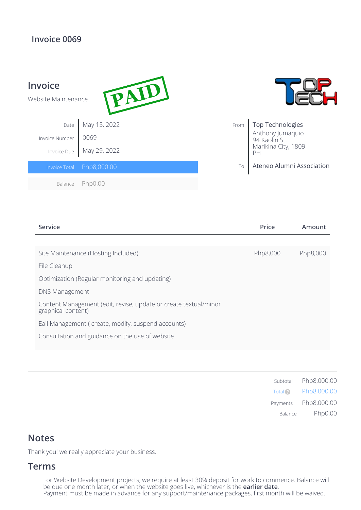## **Invoice 0069**



| Service                                                                                | Price    | Amount   |
|----------------------------------------------------------------------------------------|----------|----------|
|                                                                                        |          |          |
| Site Maintenance (Hosting Included):                                                   | Php8,000 | Php8,000 |
| File Cleanup                                                                           |          |          |
| Optimization (Regular monitoring and updating)                                         |          |          |
| <b>DNS Management</b>                                                                  |          |          |
| Content Management (edit, revise, update or create textual/minor<br>graphical content) |          |          |
| Eail Management (create, modify, suspend accounts)                                     |          |          |
| Consultation and guidance on the use of website                                        |          |          |

|         | Subtotal Php8,000.00       |
|---------|----------------------------|
|         | Total <b>@</b> Php8,000.00 |
|         | Payments Php8,000.00       |
| Balance | Php0.00                    |
|         |                            |

## **Notes**

Thank you! we really appreciate your business.

## **Terms**

For Website Development projects, we require at least 30% deposit for work to commence. Balance will be due one month later, or when the website goes live, whichever is the **earlier date**. Payment must be made in advance for any support/maintenance packages, first month will be waived.